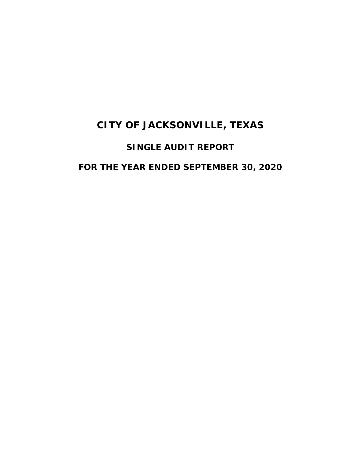# **SINGLE AUDIT REPORT**

**FOR THE YEAR ENDED SEPTEMBER 30, 2020**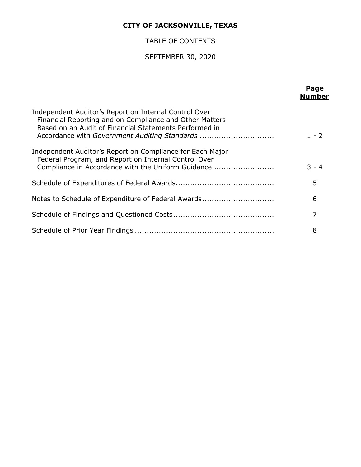## TABLE OF CONTENTS

# SEPTEMBER 30, 2020

|                                                                                                                                                                                                                             | Page<br><b>Number</b> |
|-----------------------------------------------------------------------------------------------------------------------------------------------------------------------------------------------------------------------------|-----------------------|
| Independent Auditor's Report on Internal Control Over<br>Financial Reporting and on Compliance and Other Matters<br>Based on an Audit of Financial Statements Performed in<br>Accordance with Government Auditing Standards | $1 - 2$               |
| Independent Auditor's Report on Compliance for Each Major<br>Federal Program, and Report on Internal Control Over<br>Compliance in Accordance with the Uniform Guidance                                                     | $3 - 4$               |
|                                                                                                                                                                                                                             | 5                     |
| Notes to Schedule of Expenditure of Federal Awards                                                                                                                                                                          | 6                     |
|                                                                                                                                                                                                                             | 7                     |
|                                                                                                                                                                                                                             | 8                     |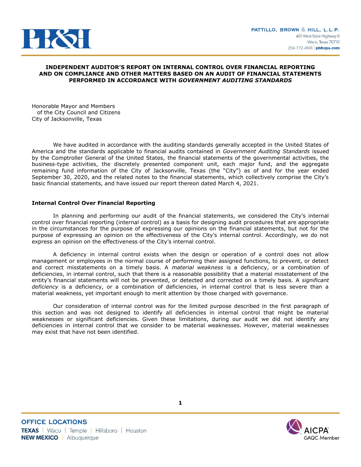

#### **INDEPENDENT AUDITOR'S REPORT ON INTERNAL CONTROL OVER FINANCIAL REPORTING AND ON COMPLIANCE AND OTHER MATTERS BASED ON AN AUDIT OF FINANCIAL STATEMENTS PERFORMED IN ACCORDANCE WITH** *GOVERNMENT AUDITING STANDARDS*

Honorable Mayor and Members of the City Council and Citizens City of Jacksonville, Texas

We have audited in accordance with the auditing standards generally accepted in the United States of America and the standards applicable to financial audits contained in *Government Auditing Standards* issued by the Comptroller General of the United States, the financial statements of the governmental activities, the business-type activities, the discretely presented component unit, each major fund, and the aggregate remaining fund information of the City of Jacksonville, Texas (the "City") as of and for the year ended September 30, 2020, and the related notes to the financial statements, which collectively comprise the City's basic financial statements, and have issued our report thereon dated March 4, 2021.

### **Internal Control Over Financial Reporting**

In planning and performing our audit of the financial statements, we considered the City's internal control over financial reporting (internal control) as a basis for designing audit procedures that are appropriate in the circumstances for the purpose of expressing our opinions on the financial statements, but not for the purpose of expressing an opinion on the effectiveness of the City's internal control. Accordingly, we do not express an opinion on the effectiveness of the City's internal control.

A deficiency in internal control exists when the design or operation of a control does not allow management or employees in the normal course of performing their assigned functions, to prevent, or detect and correct misstatements on a timely basis. A *material weakness* is a deficiency, or a combination of deficiencies, in internal control, such that there is a reasonable possibility that a material misstatement of the entity's financial statements will not be prevented, or detected and corrected on a timely basis. A *significant deficiency* is a deficiency, or a combination of deficiencies, in internal control that is less severe than a material weakness, yet important enough to merit attention by those charged with governance.

Our consideration of internal control was for the limited purpose described in the first paragraph of this section and was not designed to identify all deficiencies in internal control that might be material weaknesses or significant deficiencies. Given these limitations, during our audit we did not identify any deficiencies in internal control that we consider to be material weaknesses. However, material weaknesses may exist that have not been identified.

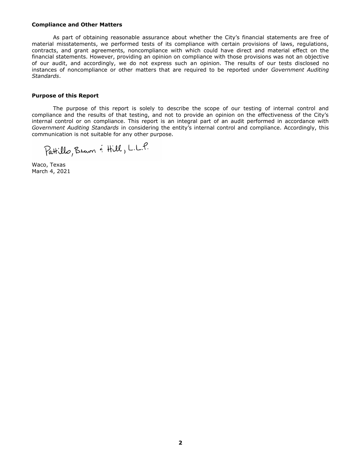#### **Compliance and Other Matters**

As part of obtaining reasonable assurance about whether the City's financial statements are free of material misstatements, we performed tests of its compliance with certain provisions of laws, regulations, contracts, and grant agreements, noncompliance with which could have direct and material effect on the financial statements. However, providing an opinion on compliance with those provisions was not an objective of our audit, and accordingly, we do not express such an opinion. The results of our tests disclosed no instances of noncompliance or other matters that are required to be reported under *Government Auditing Standards*.

#### **Purpose of this Report**

The purpose of this report is solely to describe the scope of our testing of internal control and compliance and the results of that testing, and not to provide an opinion on the effectiveness of the City's internal control or on compliance. This report is an integral part of an audit performed in accordance with *Government Auditing Standards* in considering the entity's internal control and compliance. Accordingly, this communication is not suitable for any other purpose.

Pathillo, Brown 
$$
\in
$$
 Hill, L.L.P.

Waco, Texas March 4, 2021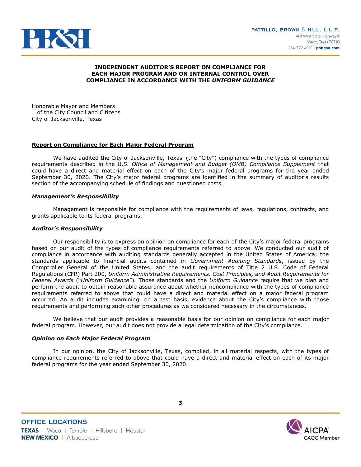

### **INDEPENDENT AUDITOR'S REPORT ON COMPLIANCE FOR EACH MAJOR PROGRAM AND ON INTERNAL CONTROL OVER COMPLIANCE IN ACCORDANCE WITH THE** *UNIFORM GUIDANCE*

Honorable Mayor and Members of the City Council and Citizens City of Jacksonville, Texas

### **Report on Compliance for Each Major Federal Program**

We have audited the City of Jacksonville, Texas' (the "City") compliance with the types of compliance requirements described in the U.S. *Office of Management and Budget (OMB) Compliance Supplement* that could have a direct and material effect on each of the City's major federal programs for the year ended September 30, 2020. The City's major federal programs are identified in the summary of auditor's results section of the accompanying schedule of findings and questioned costs.

### *Management's Responsibility*

Management is responsible for compliance with the requirements of laws, regulations, contracts, and grants applicable to its federal programs.

### *Auditor's Responsibility*

Our responsibility is to express an opinion on compliance for each of the City's major federal programs based on our audit of the types of compliance requirements referred to above. We conducted our audit of compliance in accordance with auditing standards generally accepted in the United States of America; the standards applicable to financial audits contained in *Government Auditing Standards*, issued by the Comptroller General of the United States; and the audit requirements of Title 2 U.S. Code of Federal Regulations (CFR) Part 200, *Uniform Administrative Requirements, Cost Principles, and Audit Requirements for Federal Awards* ("*Uniform Guidance*")*.* Those standards and the *Uniform Guidance* require that we plan and perform the audit to obtain reasonable assurance about whether noncompliance with the types of compliance requirements referred to above that could have a direct and material effect on a major federal program occurred. An audit includes examining, on a test basis, evidence about the City's compliance with those requirements and performing such other procedures as we considered necessary in the circumstances.

We believe that our audit provides a reasonable basis for our opinion on compliance for each major federal program. However, our audit does not provide a legal determination of the City's compliance.

### *Opinion on Each Major Federal Program*

In our opinion, the City of Jacksonville, Texas, complied, in all material respects, with the types of compliance requirements referred to above that could have a direct and material effect on each of its major federal programs for the year ended September 30, 2020.

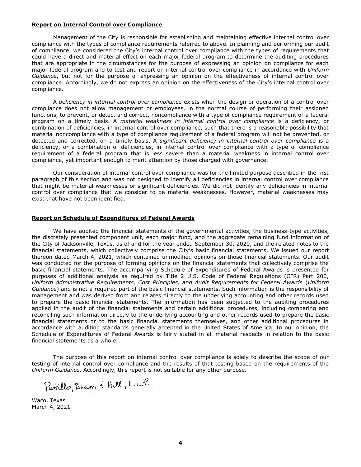#### **Report on Internal Control over Compliance**

Management of the City is responsible for establishing and maintaining effective internal control over compliance with the types of compliance requirements referred to above. In planning and performing our audit of compliance, we considered the City's internal control over compliance with the types of requirements that could have a direct and material effect on each major federal program to determine the auditing procedures that are appropriate in the circumstances for the purpose of expressing an opinion on compliance for each major federal program and to test and report on internal control over compliance in accordance with *Uniform Guidance*, but not for the purpose of expressing an opinion on the effectiveness of internal control over compliance. Accordingly, we do not express an opinion on the effectiveness of the City's internal control over compliance.

A *deficiency in internal control over compliance* exists when the design or operation of a control over compliance does not allow management or employees, in the normal course of performing their assigned functions, to prevent, or detect and correct, noncompliance with a type of compliance requirement of a federal program on a timely basis. A *material weakness in internal control over compliance* is a deficiency, or combination of deficiencies, in internal control over compliance, such that there is a reasonable possibility that material noncompliance with a type of compliance requirement of a federal program will not be prevented, or detected and corrected, on a timely basis. A *significant deficiency in internal control over compliance* is a deficiency, or a combination of deficiencies, in internal control over compliance with a type of compliance requirement of a federal program that is less severe than a material weakness in internal control over compliance, yet important enough to merit attention by those charged with governance.

Our consideration of internal control over compliance was for the limited purpose described in the first paragraph of this section and was not designed to identify all deficiencies in internal control over compliance that might be material weaknesses or significant deficiencies. We did not identify any deficiencies in internal control over compliance that we consider to be material weaknesses. However, material weaknesses may exist that have not been identified.

#### **Report on Schedule of Expenditures of Federal Awards**

We have audited the financial statements of the governmental activities, the business-type activities, the discretely presented component unit, each major fund, and the aggregate remaining fund information of the City of Jacksonville, Texas, as of and for the year ended September 30, 2020, and the related notes to the financial statements, which collectively comprise the City's basic financial statements. We issued our report thereon dated March 4, 2021, which contained unmodified opinions on those financial statements. Our audit was conducted for the purpose of forming opinions on the financial statements that collectively comprise the basic financial statements. The accompanying Schedule of Expenditures of Federal Awards is presented for purposes of additional analysis as required by Title 2 U.S. Code of Federal Regulations (CFR) Part 200, *Uniform Administrative Requirements, Cost Principles, and Audit Requirements for Federal Awards* (*Uniform Guidance*) and is not a required part of the basic financial statements. Such information is the responsibility of management and was derived from and relates directly to the underlying accounting and other records used to prepare the basic financial statements. The information has been subjected to the auditing procedures applied in the audit of the financial statements and certain additional procedures, including comparing and reconciling such information directly to the underlying accounting and other records used to prepare the basic financial statements or to the basic financial statements themselves, and other additional procedures in accordance with auditing standards generally accepted in the United States of America. In our opinion, the Schedule of Expenditures of Federal Awards is fairly stated in all material respects in relation to the basic financial statements as a whole.

The purpose of this report on internal control over compliance is solely to describe the scope of our testing of internal control over compliance and the results of that testing based on the requirements of the *Uniform Guidance*. Accordingly, this report is not suitable for any other purpose.

Waco, Texas March 4, 2021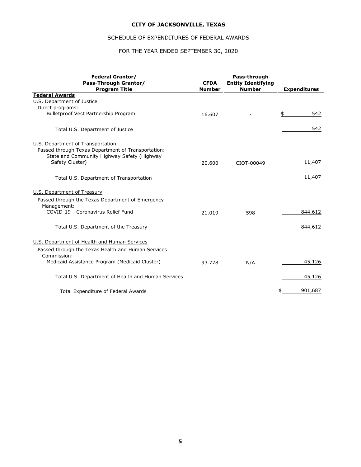### SCHEDULE OF EXPENDITURES OF FEDERAL AWARDS

## FOR THE YEAR ENDED SEPTEMBER 30, 2020

| <b>Federal Grantor/</b><br>Pass-Through Grantor/<br><b>Program Title</b>                | <b>CFDA</b><br><b>Number</b> | Pass-through<br><b>Entity Identifying</b><br><b>Number</b> | <b>Expenditures</b> |
|-----------------------------------------------------------------------------------------|------------------------------|------------------------------------------------------------|---------------------|
| <b>Federal Awards</b>                                                                   |                              |                                                            |                     |
| U.S. Department of Justice                                                              |                              |                                                            |                     |
| Direct programs:                                                                        |                              |                                                            |                     |
| Bulletproof Vest Partnership Program                                                    | 16.607                       |                                                            | 542<br>\$           |
| Total U.S. Department of Justice                                                        |                              |                                                            | 542                 |
| U.S. Department of Transportation<br>Passed through Texas Department of Transportation: |                              |                                                            |                     |
| State and Community Highway Safety (Highway<br>Safety Cluster)                          | 20.600                       | CIOT-00049                                                 | 11,407              |
| Total U.S. Department of Transportation                                                 |                              |                                                            | 11,407              |
| U.S. Department of Treasury                                                             |                              |                                                            |                     |
| Passed through the Texas Department of Emergency<br>Management:                         |                              |                                                            |                     |
| COVID-19 - Coronavirus Relief Fund                                                      | 21.019                       | 598                                                        | 844,612             |
| Total U.S. Department of the Treasury                                                   |                              |                                                            | 844,612             |
| U.S. Department of Health and Human Services                                            |                              |                                                            |                     |
| Passed through the Texas Health and Human Services<br>Commission:                       |                              |                                                            |                     |
| Medicaid Assistance Program (Medicaid Cluster)                                          | 93.778                       | N/A                                                        | 45,126              |
| Total U.S. Department of Health and Human Services                                      |                              |                                                            | 45,126              |
| Total Expenditure of Federal Awards                                                     |                              |                                                            | \$<br>901,687       |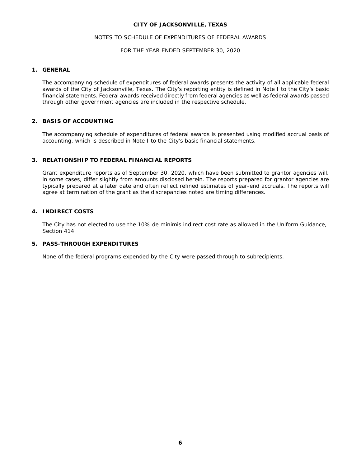### NOTES TO SCHEDULE OF EXPENDITURES OF FEDERAL AWARDS

### FOR THE YEAR ENDED SEPTEMBER 30, 2020

### **1. GENERAL**

The accompanying schedule of expenditures of federal awards presents the activity of all applicable federal awards of the City of Jacksonville, Texas. The City's reporting entity is defined in Note I to the City's basic financial statements. Federal awards received directly from federal agencies as well as federal awards passed through other government agencies are included in the respective schedule.

### **2. BASIS OF ACCOUNTING**

The accompanying schedule of expenditures of federal awards is presented using modified accrual basis of accounting, which is described in Note I to the City's basic financial statements.

### **3. RELATIONSHIP TO FEDERAL FINANCIAL REPORTS**

Grant expenditure reports as of September 30, 2020, which have been submitted to grantor agencies will, in some cases, differ slightly from amounts disclosed herein. The reports prepared for grantor agencies are typically prepared at a later date and often reflect refined estimates of year-end accruals. The reports will agree at termination of the grant as the discrepancies noted are timing differences.

### **4. INDIRECT COSTS**

The City has not elected to use the 10% de minimis indirect cost rate as allowed in the Uniform Guidance, Section 414.

### **5. PASS-THROUGH EXPENDITURES**

None of the federal programs expended by the City were passed through to subrecipients.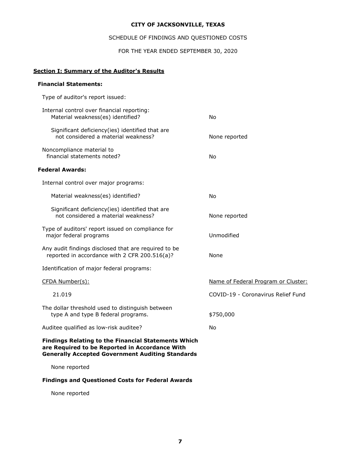### SCHEDULE OF FINDINGS AND QUESTIONED COSTS

FOR THE YEAR ENDED SEPTEMBER 30, 2020

### **Section I: Summary of the Auditor's Results**

### **Financial Statements:**

| Type of auditor's report issued:                                                                                                                                        |                                     |
|-------------------------------------------------------------------------------------------------------------------------------------------------------------------------|-------------------------------------|
| Internal control over financial reporting:<br>Material weakness(es) identified?                                                                                         | No                                  |
| Significant deficiency(ies) identified that are<br>not considered a material weakness?                                                                                  | None reported                       |
| Noncompliance material to<br>financial statements noted?                                                                                                                | Nο                                  |
| <b>Federal Awards:</b>                                                                                                                                                  |                                     |
| Internal control over major programs:                                                                                                                                   |                                     |
| Material weakness(es) identified?                                                                                                                                       | No                                  |
| Significant deficiency(ies) identified that are<br>not considered a material weakness?                                                                                  | None reported                       |
| Type of auditors' report issued on compliance for<br>major federal programs                                                                                             | Unmodified                          |
| Any audit findings disclosed that are required to be<br>reported in accordance with 2 CFR 200.516(a)?                                                                   | None                                |
| Identification of major federal programs:                                                                                                                               |                                     |
| CFDA Number(s):                                                                                                                                                         | Name of Federal Program or Cluster: |
| 21.019                                                                                                                                                                  | COVID-19 - Coronavirus Relief Fund  |
| The dollar threshold used to distinguish between<br>type A and type B federal programs.                                                                                 | \$750,000                           |
| Auditee qualified as low-risk auditee?                                                                                                                                  | No                                  |
| <b>Findings Relating to the Financial Statements Which</b><br>are Required to be Reported in Accordance With<br><b>Generally Accepted Government Auditing Standards</b> |                                     |
| None reported                                                                                                                                                           |                                     |

### **Findings and Questioned Costs for Federal Awards**

None reported